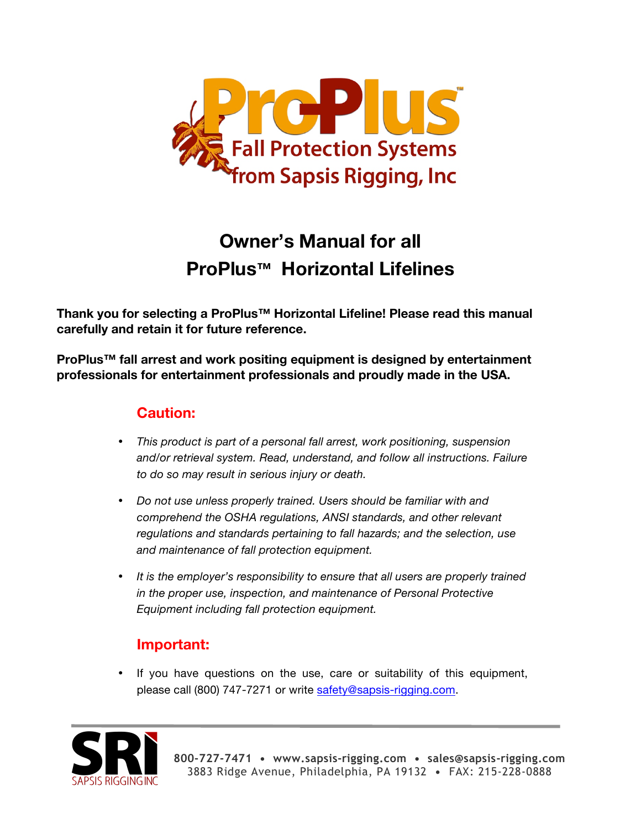

# **Owner's Manual for all ProPlus™ Horizontal Lifelines**

**Thank you for selecting a ProPlus™ Horizontal Lifeline! Please read this manual carefully and retain it for future reference.**

**ProPlus™ fall arrest and work positing equipment is designed by entertainment professionals for entertainment professionals and proudly made in the USA.**

# **Caution:**

- *This product is part of a personal fall arrest, work positioning, suspension and/or retrieval system. Read, understand, and follow all instructions. Failure to do so may result in serious injury or death.*
- *Do not use unless properly trained. Users should be familiar with and comprehend the OSHA regulations, ANSI standards, and other relevant regulations and standards pertaining to fall hazards; and the selection, use and maintenance of fall protection equipment.*
- *It is the employer's responsibility to ensure that all users are properly trained in the proper use, inspection, and maintenance of Personal Protective Equipment including fall protection equipment.*

## **Important:**

• If you have questions on the use, care or suitability of this equipment, please call (800) 747-7271 or write safety@sapsis-rigging.com.



**800-727-7471 • www.sapsis-rigging.com • sales@sapsis-rigging.com** 3883 Ridge Avenue, Philadelphia, PA 19132 **•** FAX: 215-228-0888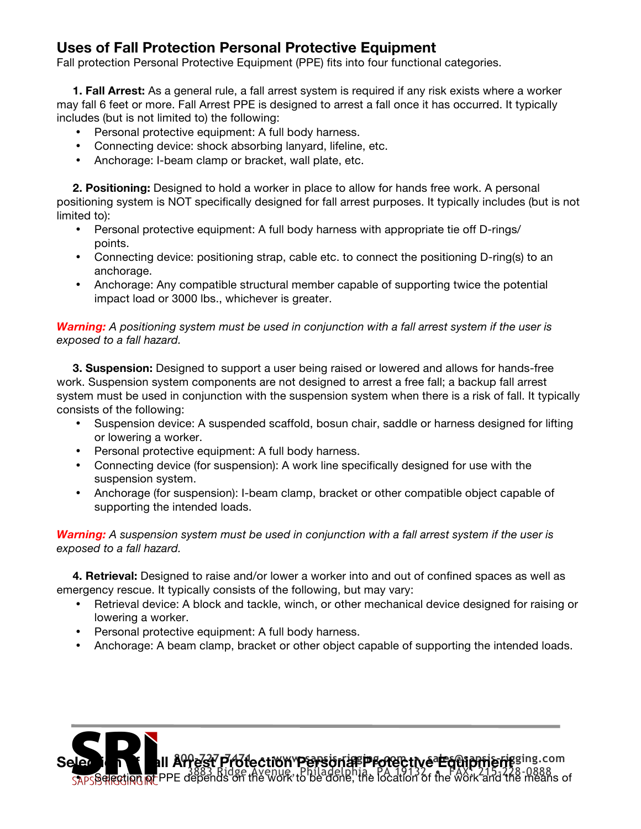# **Uses of Fall Protection Personal Protective Equipment**

Fall protection Personal Protective Equipment (PPE) fits into four functional categories.

 **1. Fall Arrest:** As a general rule, a fall arrest system is required if any risk exists where a worker may fall 6 feet or more. Fall Arrest PPE is designed to arrest a fall once it has occurred. It typically includes (but is not limited to) the following:

- Personal protective equipment: A full body harness.
- Connecting device: shock absorbing lanyard, lifeline, etc.
- Anchorage: I-beam clamp or bracket, wall plate, etc.

 **2. Positioning:** Designed to hold a worker in place to allow for hands free work. A personal positioning system is NOT specifically designed for fall arrest purposes. It typically includes (but is not limited to):

- Personal protective equipment: A full body harness with appropriate tie off D-rings/ points.
- Connecting device: positioning strap, cable etc. to connect the positioning D-ring(s) to an anchorage.
- Anchorage: Any compatible structural member capable of supporting twice the potential impact load or 3000 lbs., whichever is greater.

*Warning: A positioning system must be used in conjunction with a fall arrest system if the user is exposed to a fall hazard.*

 **3. Suspension:** Designed to support a user being raised or lowered and allows for hands-free work. Suspension system components are not designed to arrest a free fall; a backup fall arrest system must be used in conjunction with the suspension system when there is a risk of fall. It typically consists of the following:

- Suspension device: A suspended scaffold, bosun chair, saddle or harness designed for lifting or lowering a worker.
- Personal protective equipment: A full body harness.
- Connecting device (for suspension): A work line specifically designed for use with the suspension system.
- Anchorage (for suspension): I-beam clamp, bracket or other compatible object capable of supporting the intended loads.

#### *Warning: A suspension system must be used in conjunction with a fall arrest system if the user is exposed to a fall hazard.*

 **4. Retrieval:** Designed to raise and/or lower a worker into and out of confined spaces as well as emergency rescue. It typically consists of the following, but may vary:

- Retrieval device: A block and tackle, winch, or other mechanical device designed for raising or lowering a worker.
- Personal protective equipment: A full body harness.
- Anchorage: A beam clamp, bracket or other object capable of supporting the intended loads.

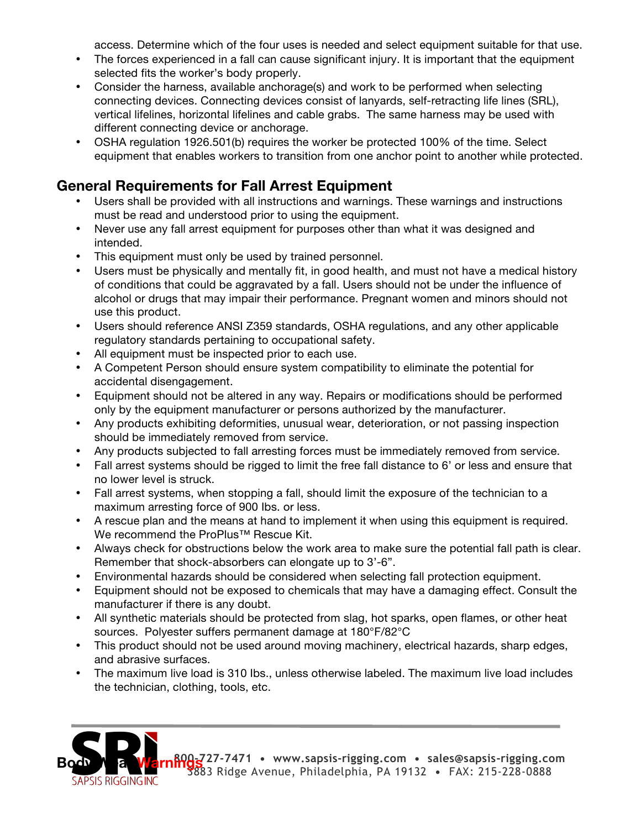access. Determine which of the four uses is needed and select equipment suitable for that use.

- The forces experienced in a fall can cause significant injury. It is important that the equipment selected fits the worker's body properly.
- Consider the harness, available anchorage(s) and work to be performed when selecting connecting devices. Connecting devices consist of lanyards, self-retracting life lines (SRL), vertical lifelines, horizontal lifelines and cable grabs. The same harness may be used with different connecting device or anchorage.
- OSHA regulation 1926.501(b) requires the worker be protected 100% of the time. Select equipment that enables workers to transition from one anchor point to another while protected.

# **General Requirements for Fall Arrest Equipment**

- Users shall be provided with all instructions and warnings. These warnings and instructions must be read and understood prior to using the equipment.
- Never use any fall arrest equipment for purposes other than what it was designed and intended.
- This equipment must only be used by trained personnel.
- Users must be physically and mentally fit, in good health, and must not have a medical history of conditions that could be aggravated by a fall. Users should not be under the influence of alcohol or drugs that may impair their performance. Pregnant women and minors should not use this product.
- Users should reference ANSI Z359 standards, OSHA regulations, and any other applicable regulatory standards pertaining to occupational safety.
- All equipment must be inspected prior to each use.
- A Competent Person should ensure system compatibility to eliminate the potential for accidental disengagement.
- Equipment should not be altered in any way. Repairs or modifications should be performed only by the equipment manufacturer or persons authorized by the manufacturer.
- Any products exhibiting deformities, unusual wear, deterioration, or not passing inspection should be immediately removed from service.
- Any products subjected to fall arresting forces must be immediately removed from service.
- Fall arrest systems should be rigged to limit the free fall distance to 6' or less and ensure that no lower level is struck.
- Fall arrest systems, when stopping a fall, should limit the exposure of the technician to a maximum arresting force of 900 Ibs. or less.
- A rescue plan and the means at hand to implement it when using this equipment is required. We recommend the ProPlus™ Rescue Kit.
- Always check for obstructions below the work area to make sure the potential fall path is clear. Remember that shock-absorbers can elongate up to 3'-6".
- Environmental hazards should be considered when selecting fall protection equipment.
- Equipment should not be exposed to chemicals that may have a damaging effect. Consult the manufacturer if there is any doubt.
- All synthetic materials should be protected from slag, hot sparks, open flames, or other heat sources. Polyester suffers permanent damage at 180°F/82°C
- This product should not be used around moving machinery, electrical hazards, sharp edges, and abrasive surfaces.
- The maximum live load is 310 Ibs., unless otherwise labeled. The maximum live load includes the technician, clothing, tools, etc.



**Body 12** Warnings 27-7471 • www.sapsis-rigging.com • sales@sapsis-rigging.com 3883 Ridge Avenue, Philadelphia, PA 19132 **•** FAX: 215-228-0888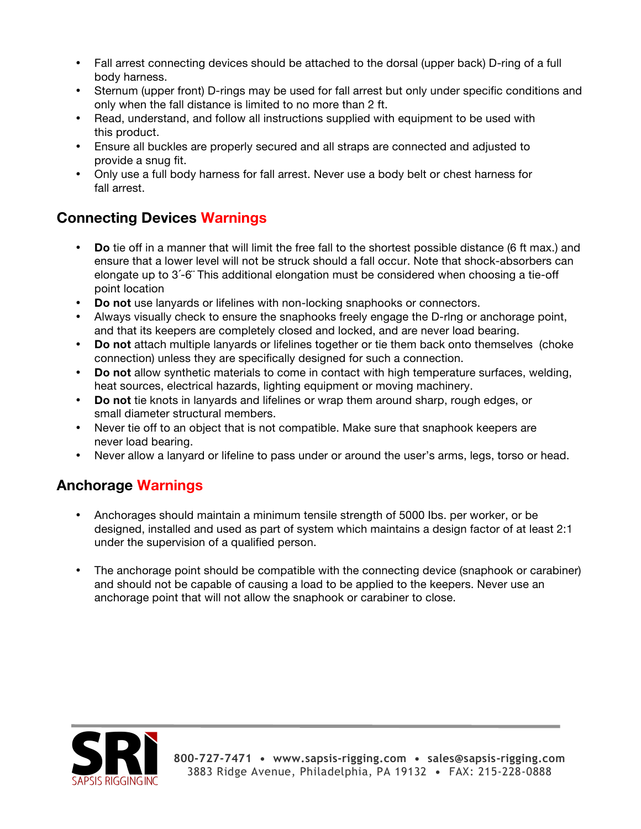- Fall arrest connecting devices should be attached to the dorsal (upper back) D-ring of a full body harness.
- Sternum (upper front) D-rings may be used for fall arrest but only under specific conditions and only when the fall distance is limited to no more than 2 ft.
- Read, understand, and follow all instructions supplied with equipment to be used with this product.
- Ensure all buckles are properly secured and all straps are connected and adjusted to provide a snug fit.
- Only use a full body harness for fall arrest. Never use a body belt or chest harness for fall arrest.

# **Connecting Devices Warnings**

- **Do** tie off in a manner that will limit the free fall to the shortest possible distance (6 ft max.) and ensure that a lower level will not be struck should a fall occur. Note that shock-absorbers can elongate up to 3´-6¨ This additional elongation must be considered when choosing a tie-off point location
- **Do not** use lanyards or lifelines with non-locking snaphooks or connectors.
- Always visually check to ensure the snaphooks freely engage the D-rlng or anchorage point, and that its keepers are completely closed and locked, and are never load bearing.
- **Do not** attach multiple lanyards or lifelines together or tie them back onto themselves (choke connection) unless they are specifically designed for such a connection.
- **Do not** allow synthetic materials to come in contact with high temperature surfaces, welding, heat sources, electrical hazards, lighting equipment or moving machinery.
- **Do not** tie knots in lanyards and lifelines or wrap them around sharp, rough edges, or small diameter structural members.
- Never tie off to an object that is not compatible. Make sure that snaphook keepers are never load bearing.
- Never allow a lanyard or lifeline to pass under or around the user's arms, legs, torso or head.

## **Anchorage Warnings**

- Anchorages should maintain a minimum tensile strength of 5000 Ibs. per worker, or be designed, installed and used as part of system which maintains a design factor of at least 2:1 under the supervision of a qualified person.
- The anchorage point should be compatible with the connecting device (snaphook or carabiner) and should not be capable of causing a load to be applied to the keepers. Never use an anchorage point that will not allow the snaphook or carabiner to close.

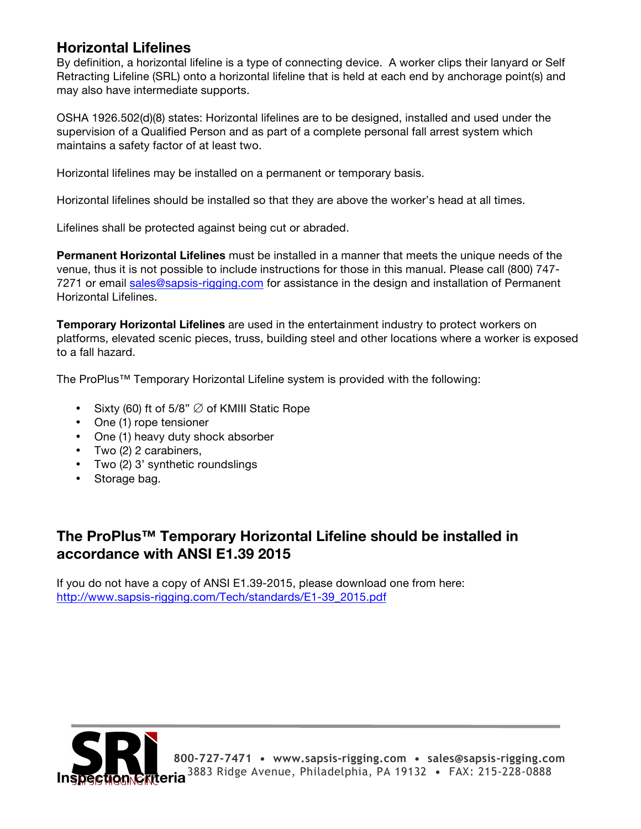## **Horizontal Lifelines**

By definition, a horizontal lifeline is a type of connecting device. A worker clips their lanyard or Self Retracting Lifeline (SRL) onto a horizontal lifeline that is held at each end by anchorage point(s) and may also have intermediate supports.

OSHA 1926.502(d)(8) states: Horizontal lifelines are to be designed, installed and used under the supervision of a Qualified Person and as part of a complete personal fall arrest system which maintains a safety factor of at least two.

Horizontal lifelines may be installed on a permanent or temporary basis.

Horizontal lifelines should be installed so that they are above the worker's head at all times.

Lifelines shall be protected against being cut or abraded.

**Permanent Horizontal Lifelines** must be installed in a manner that meets the unique needs of the venue, thus it is not possible to include instructions for those in this manual. Please call (800) 747- 7271 or email sales@sapsis-rigging.com for assistance in the design and installation of Permanent Horizontal Lifelines.

**Temporary Horizontal Lifelines** are used in the entertainment industry to protect workers on platforms, elevated scenic pieces, truss, building steel and other locations where a worker is exposed to a fall hazard.

The ProPlus™ Temporary Horizontal Lifeline system is provided with the following:

- Sixty (60) ft of 5/8"  $\varnothing$  of KMIII Static Rope
- One (1) rope tensioner
- One (1) heavy duty shock absorber
- Two (2) 2 carabiners,
- Two (2) 3' synthetic roundslings
- Storage bag.

# **The ProPlus™ Temporary Horizontal Lifeline should be installed in accordance with ANSI E1.39 2015**

If you do not have a copy of ANSI E1.39-2015, please download one from here: http://www.sapsis-rigging.com/Tech/standards/E1-39\_2015.pdf